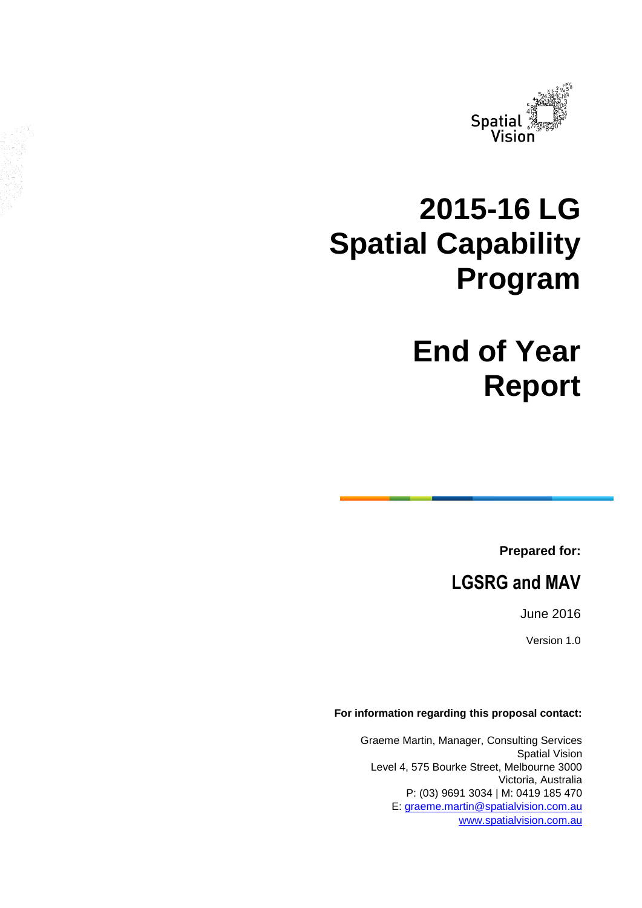

# **2015-16 LG Spatial Capability Program**

# **End of Year Report**

**Prepared for:**

**LGSRG and MAV**

June 2016

Version 1.0

#### **For information regarding this proposal contact:**

Graeme Martin, Manager, Consulting Services Spatial Vision Level 4, 575 Bourke Street, Melbourne 3000 Victoria, Australia P: (03) 9691 3034 | M: 0419 185 470 E: [graeme.martin@spatialvision.com.au](mailto:graeme.martin@spatialvision.com.au) [www.spatialvision.com.au](http://www.spatialvision.com.au/)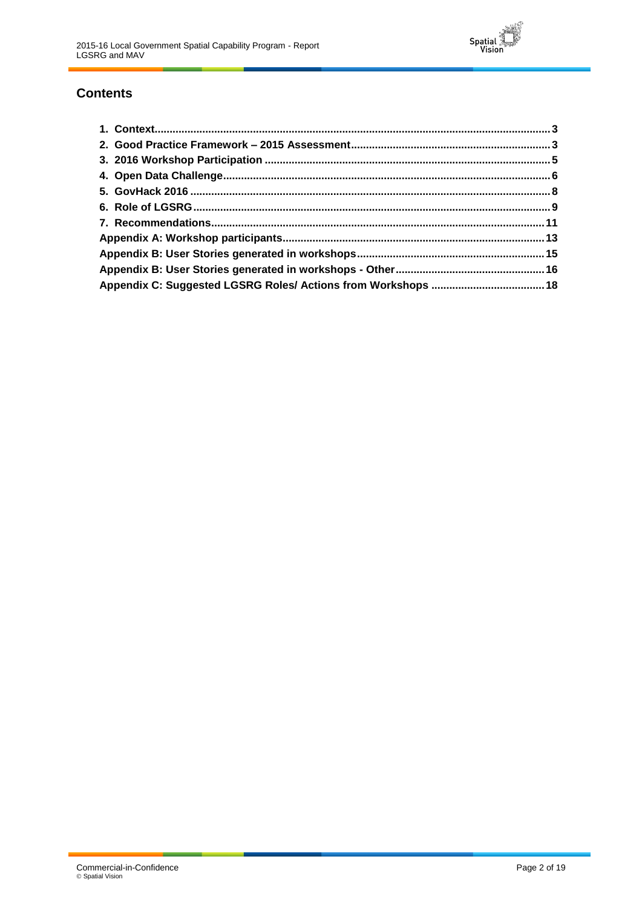

## **Contents**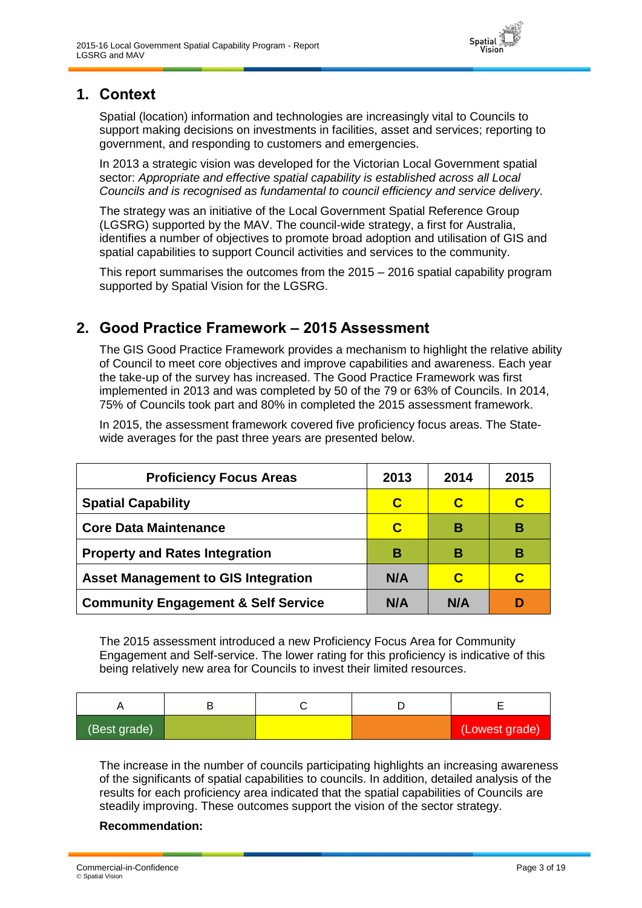

### <span id="page-2-0"></span>**1. Context**

Spatial (location) information and technologies are increasingly vital to Councils to support making decisions on investments in facilities, asset and services; reporting to government, and responding to customers and emergencies.

In 2013 a strategic vision was developed for the Victorian Local Government spatial sector: *Appropriate and effective spatial capability is established across all Local Councils and is recognised as fundamental to council efficiency and service delivery.*

The strategy was an initiative of the Local Government Spatial Reference Group (LGSRG) supported by the MAV. The council-wide strategy, a first for Australia, identifies a number of objectives to promote broad adoption and utilisation of GIS and spatial capabilities to support Council activities and services to the community.

This report summarises the outcomes from the 2015 – 2016 spatial capability program supported by Spatial Vision for the LGSRG.

## <span id="page-2-1"></span>**2. Good Practice Framework – 2015 Assessment**

The GIS Good Practice Framework provides a mechanism to highlight the relative ability of Council to meet core objectives and improve capabilities and awareness. Each year the take-up of the survey has increased. The Good Practice Framework was first implemented in 2013 and was completed by 50 of the 79 or 63% of Councils. In 2014, 75% of Councils took part and 80% in completed the 2015 assessment framework.

In 2015, the assessment framework covered five proficiency focus areas. The Statewide averages for the past three years are presented below.

| <b>Proficiency Focus Areas</b>                 | 2013 | 2014 | 2015 |
|------------------------------------------------|------|------|------|
| <b>Spatial Capability</b>                      | C    | C    | С    |
| <b>Core Data Maintenance</b>                   | C    | в    | в    |
| <b>Property and Rates Integration</b>          | В    | в    | в    |
| <b>Asset Management to GIS Integration</b>     | N/A  | C    | C    |
| <b>Community Engagement &amp; Self Service</b> | N/A  | N/A  |      |

The 2015 assessment introduced a new Proficiency Focus Area for Community Engagement and Self-service. The lower rating for this proficiency is indicative of this being relatively new area for Councils to invest their limited resources.

| (Best grade) |  | (Lowest grade) |
|--------------|--|----------------|

The increase in the number of councils participating highlights an increasing awareness of the significants of spatial capabilities to councils. In addition, detailed analysis of the results for each proficiency area indicated that the spatial capabilities of Councils are steadily improving. These outcomes support the vision of the sector strategy.

#### **Recommendation:**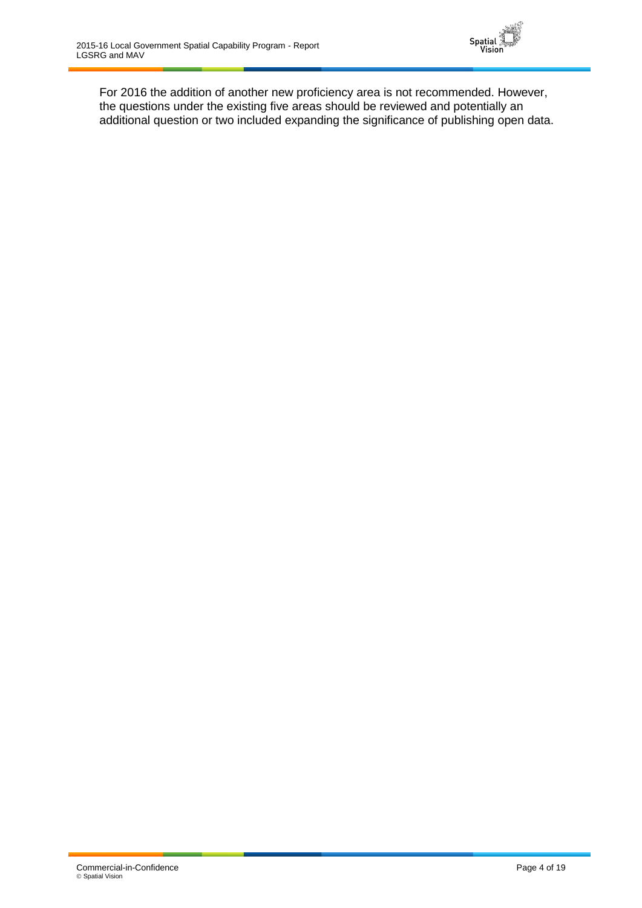

For 2016 the addition of another new proficiency area is not recommended. However, the questions under the existing five areas should be reviewed and potentially an additional question or two included expanding the significance of publishing open data.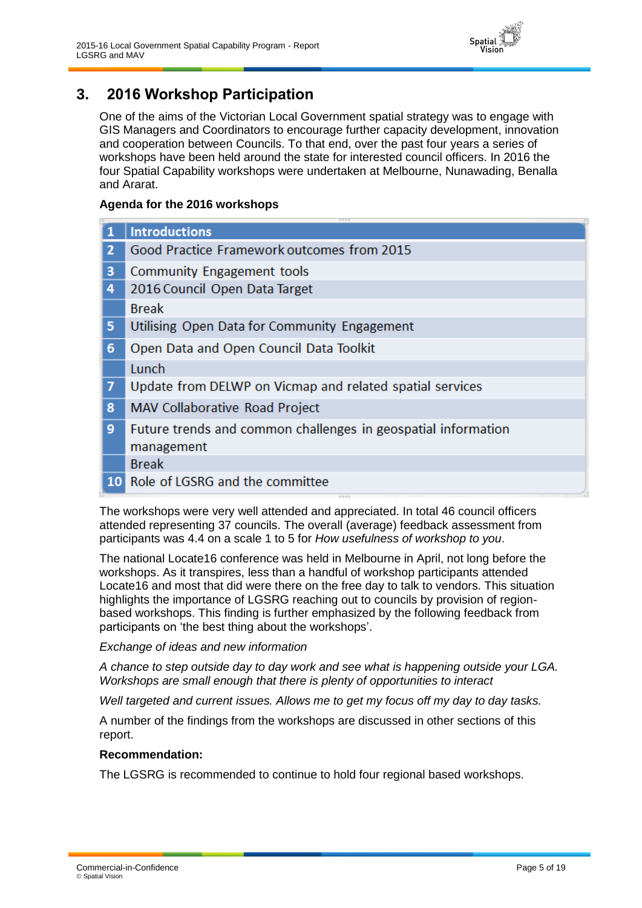

## <span id="page-4-0"></span>**3. 2016 Workshop Participation**

One of the aims of the Victorian Local Government spatial strategy was to engage with GIS Managers and Coordinators to encourage further capacity development, innovation and cooperation between Councils. To that end, over the past four years a series of workshops have been held around the state for interested council officers. In 2016 the four Spatial Capability workshops were undertaken at Melbourne, Nunawading, Benalla and Ararat.

#### **Agenda for the 2016 workshops**

|                | 2222                                                          |  |
|----------------|---------------------------------------------------------------|--|
|                | <b>Introductions</b>                                          |  |
| $\overline{2}$ | Good Practice Framework outcomes from 2015                    |  |
| з              | Community Engagement tools                                    |  |
| 4              | 2016 Council Open Data Target                                 |  |
|                | <b>Break</b>                                                  |  |
| 5              | Utilising Open Data for Community Engagement                  |  |
| 6              | Open Data and Open Council Data Toolkit                       |  |
|                | Lunch                                                         |  |
| $\overline{7}$ | Update from DELWP on Vicmap and related spatial services      |  |
| 8              | MAV Collaborative Road Project                                |  |
| 9              | Future trends and common challenges in geospatial information |  |
|                | management                                                    |  |
|                | <b>Break</b>                                                  |  |
|                | 10 Role of LGSRG and the committee                            |  |
|                |                                                               |  |

The workshops were very well attended and appreciated. In total 46 council officers attended representing 37 councils. The overall (average) feedback assessment from participants was 4.4 on a scale 1 to 5 for *How usefulness of workshop to you*.

The national Locate16 conference was held in Melbourne in April, not long before the workshops. As it transpires, less than a handful of workshop participants attended Locate16 and most that did were there on the free day to talk to vendors. This situation highlights the importance of LGSRG reaching out to councils by provision of regionbased workshops. This finding is further emphasized by the following feedback from participants on 'the best thing about the workshops'.

#### *Exchange of ideas and new information*

*A chance to step outside day to day work and see what is happening outside your LGA. Workshops are small enough that there is plenty of opportunities to interact*

*Well targeted and current issues. Allows me to get my focus off my day to day tasks.*

A number of the findings from the workshops are discussed in other sections of this report.

#### **Recommendation:**

The LGSRG is recommended to continue to hold four regional based workshops.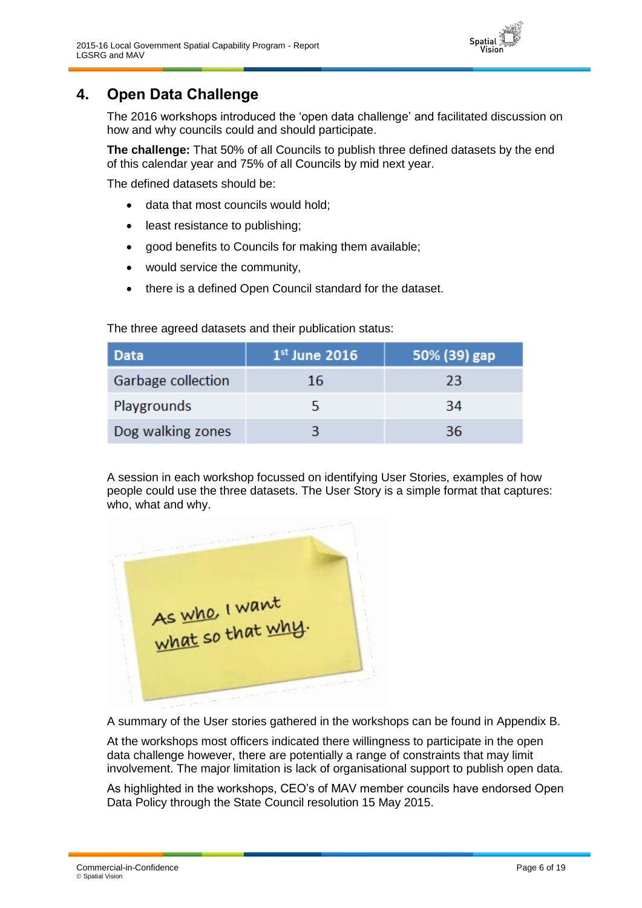<span id="page-5-0"></span>

The 2016 workshops introduced the 'open data challenge' and facilitated discussion on how and why councils could and should participate.

Spatial

**The challenge:** That 50% of all Councils to publish three defined datasets by the end of this calendar year and 75% of all Councils by mid next year.

The defined datasets should be:

- data that most councils would hold;
- least resistance to publishing;
- good benefits to Councils for making them available;
- would service the community,
- there is a defined Open Council standard for the dataset.

The three agreed datasets and their publication status:

| Data               | $1st$ June 2016 | 50% (39) gap |
|--------------------|-----------------|--------------|
| Garbage collection | 16              | 23           |
| Playgrounds        |                 | 34           |
| Dog walking zones  |                 | 36           |

A session in each workshop focussed on identifying User Stories, examples of how people could use the three datasets. The User Story is a simple format that captures: who, what and why.

As who, I want

A summary of the User stories gathered in the workshops can be found in Appendix B.

At the workshops most officers indicated there willingness to participate in the open data challenge however, there are potentially a range of constraints that may limit involvement. The major limitation is lack of organisational support to publish open data.

As highlighted in the workshops, CEO's of MAV member councils have endorsed Open Data Policy through the State Council resolution 15 May 2015.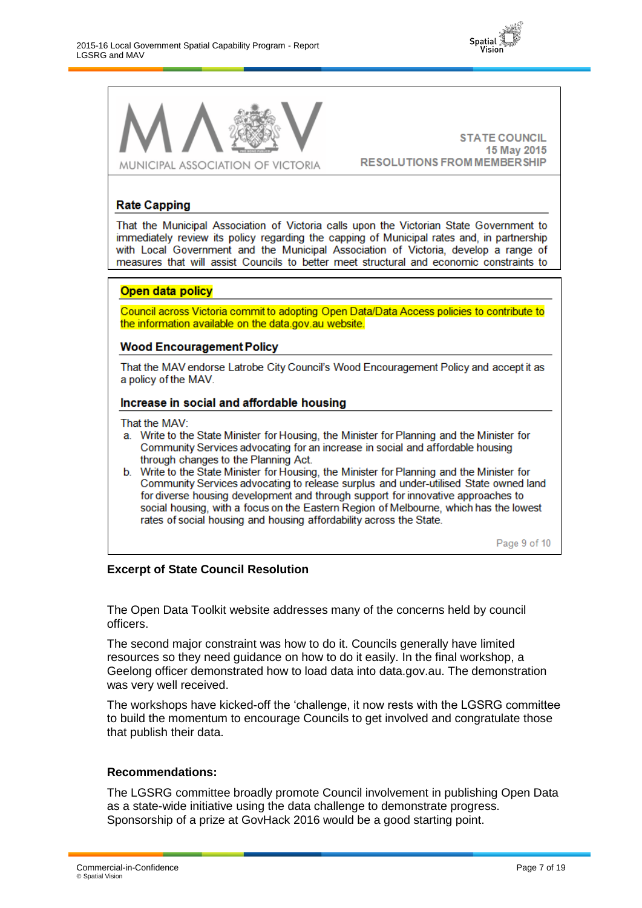



**STATE COUNCIL** 15 May 2015 **RESOLUTIONS FROM MEMBER SHIP** 

#### **Rate Capping**

That the Municipal Association of Victoria calls upon the Victorian State Government to immediately review its policy regarding the capping of Municipal rates and, in partnership with Local Government and the Municipal Association of Victoria, develop a range of measures that will assist Councils to better meet structural and economic constraints to

#### Open data policy

Council across Victoria commit to adopting Open Data/Data Access policies to contribute to the information available on the data.gov.au website.

#### **Wood Encouragement Policy**

That the MAV endorse Latrobe City Council's Wood Encouragement Policy and accept it as a policy of the MAV.

#### Increase in social and affordable housing

That the MAV:

- a. Write to the State Minister for Housing, the Minister for Planning and the Minister for Community Services advocating for an increase in social and affordable housing through changes to the Planning Act.
- Write to the State Minister for Housing, the Minister for Planning and the Minister for b. Community Services advocating to release surplus and under-utilised State owned land for diverse housing development and through support for innovative approaches to social housing, with a focus on the Eastern Region of Melbourne, which has the lowest rates of social housing and housing affordability across the State.

Page 9 of 10

#### **Excerpt of State Council Resolution**

The Open Data Toolkit website addresses many of the concerns held by council officers.

The second major constraint was how to do it. Councils generally have limited resources so they need guidance on how to do it easily. In the final workshop, a Geelong officer demonstrated how to load data into data.gov.au. The demonstration was very well received.

The workshops have kicked-off the 'challenge, it now rests with the LGSRG committee to build the momentum to encourage Councils to get involved and congratulate those that publish their data.

#### **Recommendations:**

The LGSRG committee broadly promote Council involvement in publishing Open Data as a state-wide initiative using the data challenge to demonstrate progress. Sponsorship of a prize at GovHack 2016 would be a good starting point.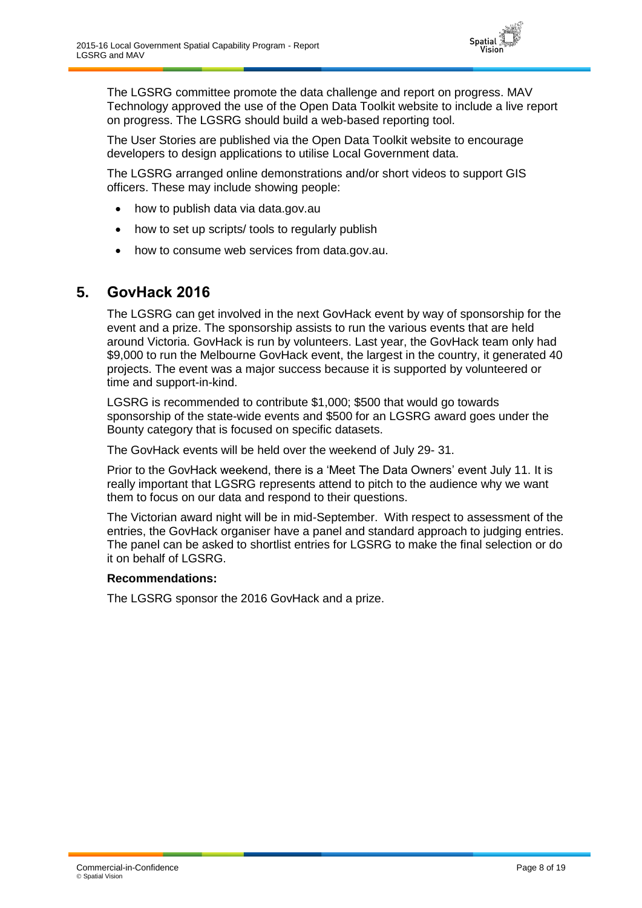

The LGSRG committee promote the data challenge and report on progress. MAV Technology approved the use of the Open Data Toolkit website to include a live report on progress. The LGSRG should build a web-based reporting tool.

The User Stories are published via the Open Data Toolkit website to encourage developers to design applications to utilise Local Government data.

The LGSRG arranged online demonstrations and/or short videos to support GIS officers. These may include showing people:

- how to publish data via data.gov.au
- how to set up scripts/ tools to regularly publish
- how to consume web services from data.gov.au.

### <span id="page-7-0"></span>**5. GovHack 2016**

The LGSRG can get involved in the next GovHack event by way of sponsorship for the event and a prize. The sponsorship assists to run the various events that are held around Victoria. GovHack is run by volunteers. Last year, the GovHack team only had \$9,000 to run the Melbourne GovHack event, the largest in the country, it generated 40 projects. The event was a major success because it is supported by volunteered or time and support-in-kind.

LGSRG is recommended to contribute \$1,000; \$500 that would go towards sponsorship of the state-wide events and \$500 for an LGSRG award goes under the Bounty category that is focused on specific datasets.

The GovHack events will be held over the weekend of July 29- 31.

Prior to the GovHack weekend, there is a 'Meet The Data Owners' event July 11. It is really important that LGSRG represents attend to pitch to the audience why we want them to focus on our data and respond to their questions.

The Victorian award night will be in mid-September. With respect to assessment of the entries, the GovHack organiser have a panel and standard approach to judging entries. The panel can be asked to shortlist entries for LGSRG to make the final selection or do it on behalf of LGSRG.

#### **Recommendations:**

The LGSRG sponsor the 2016 GovHack and a prize.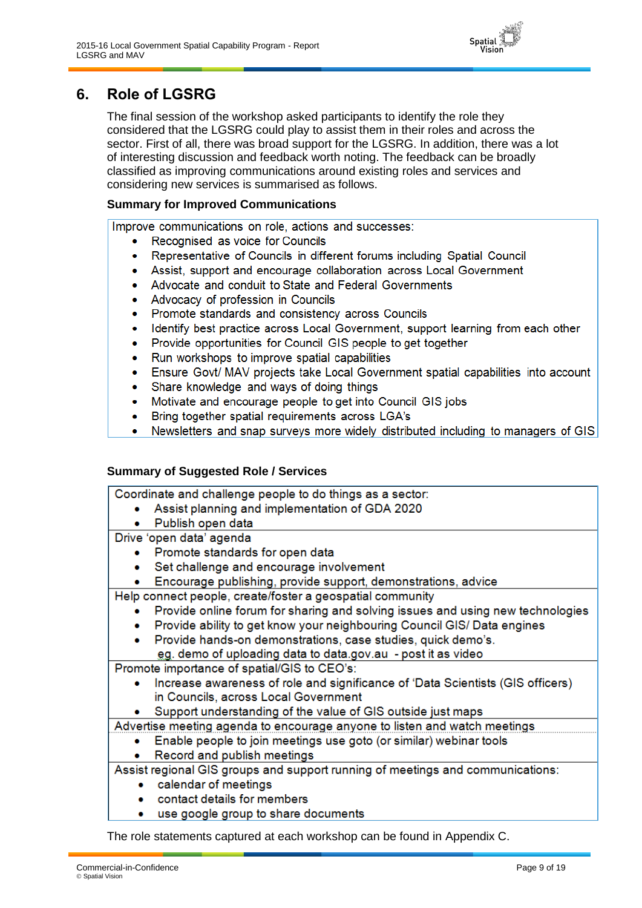

# <span id="page-8-0"></span>**6. Role of LGSRG**

The final session of the workshop asked participants to identify the role they considered that the LGSRG could play to assist them in their roles and across the sector. First of all, there was broad support for the LGSRG. In addition, there was a lot of interesting discussion and feedback worth noting. The feedback can be broadly classified as improving communications around existing roles and services and considering new services is summarised as follows.

#### **Summary for Improved Communications**

Improve communications on role, actions and successes:

- Recognised as voice for Councils  $\bullet$
- Representative of Councils in different forums including Spatial Council  $\bullet$
- Assist, support and encourage collaboration across Local Government  $\bullet$
- Advocate and conduit to State and Federal Governments  $\bullet$
- Advocacy of profession in Councils
- Promote standards and consistency across Councils  $\bullet$
- Identify best practice across Local Government, support learning from each other  $\bullet$
- Provide opportunities for Council GIS people to get together  $\bullet$
- Run workshops to improve spatial capabilities  $\bullet$
- Ensure Govt/ MAV projects take Local Government spatial capabilities into account
- Share knowledge and ways of doing things
- Motivate and encourage people to get into Council GIS jobs  $\bullet$
- Bring together spatial requirements across LGA's  $\bullet$
- Newsletters and snap surveys more widely distributed including to managers of GIS  $\bullet$

#### **Summary of Suggested Role / Services**

Coordinate and challenge people to do things as a sector: Assist planning and implementation of GDA 2020  $\bullet$ Publish open data Drive 'open data' agenda Promote standards for open data  $\bullet$ Set challenge and encourage involvement • Encourage publishing, provide support, demonstrations, advice Help connect people, create/foster a geospatial community Provide online forum for sharing and solving issues and using new technologies Provide ability to get know your neighbouring Council GIS/ Data engines Provide hands-on demonstrations, case studies, quick demo's. eg. demo of uploading data to data.gov.au - post it as video Promote importance of spatial/GIS to CEO's: Increase awareness of role and significance of 'Data Scientists (GIS officers) in Councils, across Local Government Support understanding of the value of GIS outside just maps

Advertise meeting agenda to encourage anyone to listen and watch meetings

- Enable people to join meetings use goto (or similar) webinar tools  $\bullet$
- $\bullet$ Record and publish meetings

Assist regional GIS groups and support running of meetings and communications:

- $\bullet$ calendar of meetings
- contact details for members
- use google group to share documents

The role statements captured at each workshop can be found in Appendix C.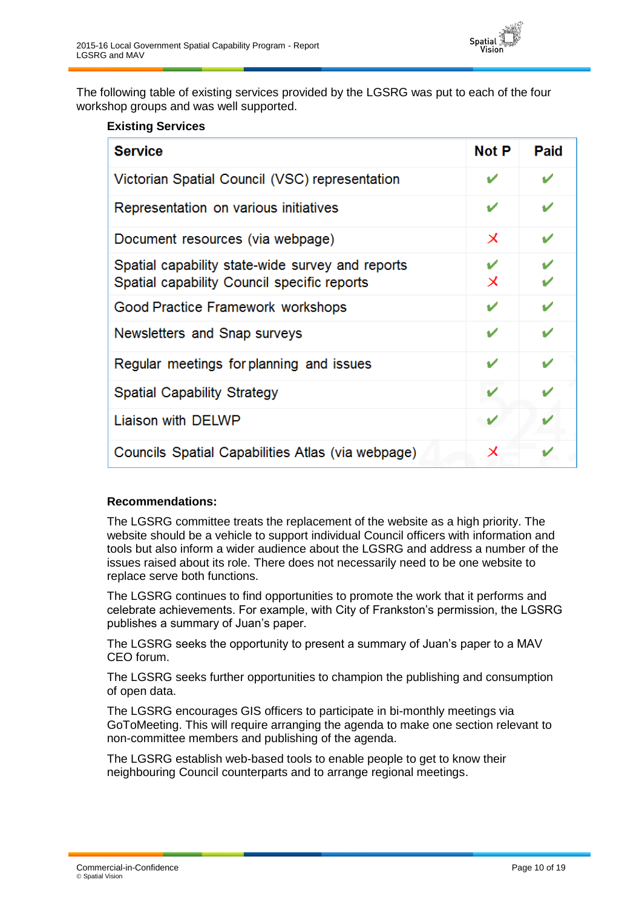

The following table of existing services provided by the LGSRG was put to each of the four workshop groups and was well supported.

#### **Existing Services**

| <b>Service</b>                                                                                  | Not P                     | Paid   |
|-------------------------------------------------------------------------------------------------|---------------------------|--------|
| Victorian Spatial Council (VSC) representation                                                  |                           |        |
| Representation on various initiatives                                                           | v                         | v      |
| Document resources (via webpage)                                                                | $\boldsymbol{\mathsf{x}}$ | v      |
| Spatial capability state-wide survey and reports<br>Spatial capability Council specific reports | ✔<br>Х                    | V<br>Ú |
| Good Practice Framework workshops                                                               | ັ                         |        |
| Newsletters and Snap surveys                                                                    | ✔                         | ✔      |
| Regular meetings for planning and issues                                                        | v                         | ✔      |
| <b>Spatial Capability Strategy</b>                                                              |                           |        |
| Liaison with DELWP                                                                              |                           |        |
| Councils Spatial Capabilities Atlas (via webpage)                                               | $\boldsymbol{\mathsf{x}}$ |        |

#### **Recommendations:**

The LGSRG committee treats the replacement of the website as a high priority. The website should be a vehicle to support individual Council officers with information and tools but also inform a wider audience about the LGSRG and address a number of the issues raised about its role. There does not necessarily need to be one website to replace serve both functions.

The LGSRG continues to find opportunities to promote the work that it performs and celebrate achievements. For example, with City of Frankston's permission, the LGSRG publishes a summary of Juan's paper.

The LGSRG seeks the opportunity to present a summary of Juan's paper to a MAV CEO forum.

The LGSRG seeks further opportunities to champion the publishing and consumption of open data.

The LGSRG encourages GIS officers to participate in bi-monthly meetings via GoToMeeting. This will require arranging the agenda to make one section relevant to non-committee members and publishing of the agenda.

The LGSRG establish web-based tools to enable people to get to know their neighbouring Council counterparts and to arrange regional meetings.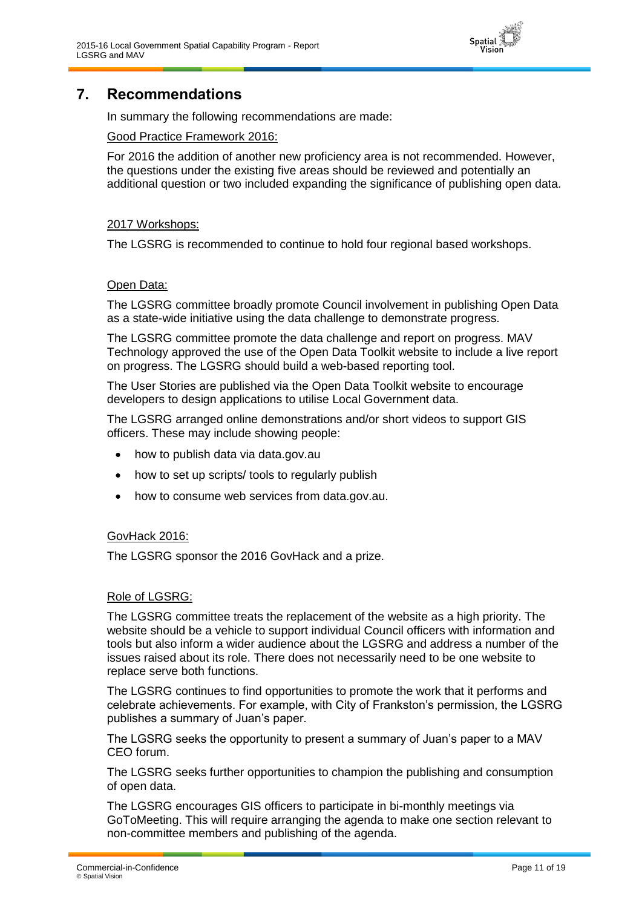

## <span id="page-10-0"></span>**7. Recommendations**

In summary the following recommendations are made:

#### Good Practice Framework 2016:

For 2016 the addition of another new proficiency area is not recommended. However, the questions under the existing five areas should be reviewed and potentially an additional question or two included expanding the significance of publishing open data.

#### 2017 Workshops:

The LGSRG is recommended to continue to hold four regional based workshops.

#### Open Data:

The LGSRG committee broadly promote Council involvement in publishing Open Data as a state-wide initiative using the data challenge to demonstrate progress.

The LGSRG committee promote the data challenge and report on progress. MAV Technology approved the use of the Open Data Toolkit website to include a live report on progress. The LGSRG should build a web-based reporting tool.

The User Stories are published via the Open Data Toolkit website to encourage developers to design applications to utilise Local Government data.

The LGSRG arranged online demonstrations and/or short videos to support GIS officers. These may include showing people:

- how to publish data via data.gov.au
- how to set up scripts/ tools to regularly publish
- how to consume web services from data.gov.au.

#### GovHack 2016:

The LGSRG sponsor the 2016 GovHack and a prize.

#### Role of LGSRG:

The LGSRG committee treats the replacement of the website as a high priority. The website should be a vehicle to support individual Council officers with information and tools but also inform a wider audience about the LGSRG and address a number of the issues raised about its role. There does not necessarily need to be one website to replace serve both functions.

The LGSRG continues to find opportunities to promote the work that it performs and celebrate achievements. For example, with City of Frankston's permission, the LGSRG publishes a summary of Juan's paper.

The LGSRG seeks the opportunity to present a summary of Juan's paper to a MAV CEO forum.

The LGSRG seeks further opportunities to champion the publishing and consumption of open data.

The LGSRG encourages GIS officers to participate in bi-monthly meetings via GoToMeeting. This will require arranging the agenda to make one section relevant to non-committee members and publishing of the agenda.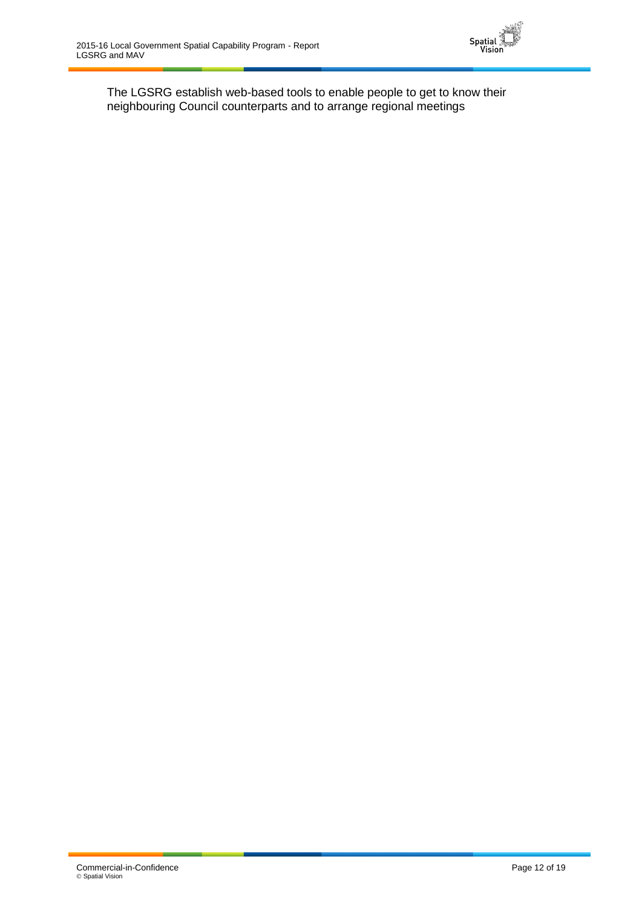

The LGSRG establish web-based tools to enable people to get to know their neighbouring Council counterparts and to arrange regional meetings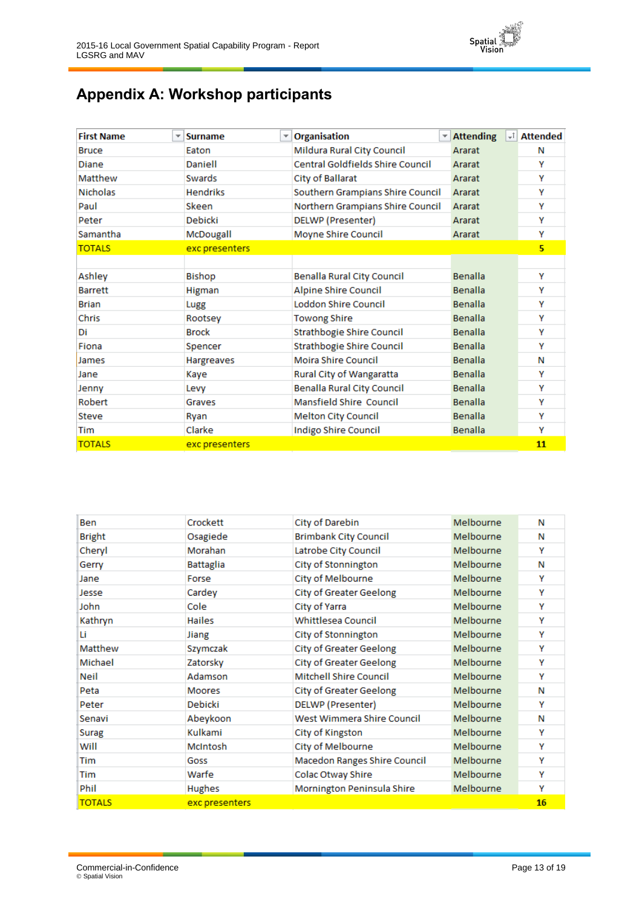

# <span id="page-12-0"></span>**Appendix A: Workshop participants**

| <b>First Name</b><br>▼ | <b>Surname</b>  | $\mathbf{v}$ Organisation<br>$\overline{\phantom{a}}$ | <b>Attending</b><br>$+1$ | <b>Attended</b>         |
|------------------------|-----------------|-------------------------------------------------------|--------------------------|-------------------------|
| <b>Bruce</b>           | Eaton           | Mildura Rural City Council                            | Ararat                   | Ν                       |
| Diane                  | Daniell         | <b>Central Goldfields Shire Council</b>               | Ararat                   | Y                       |
| Matthew                | Swards          | City of Ballarat                                      | Ararat                   | Y                       |
| <b>Nicholas</b>        | <b>Hendriks</b> | Southern Grampians Shire Council                      | Ararat                   | Y                       |
| Paul                   | Skeen           | Northern Grampians Shire Council                      | Ararat                   | Y                       |
| Peter                  | Debicki         | DELWP (Presenter)                                     | Ararat                   | Y                       |
| Samantha               | McDougall       | Moyne Shire Council                                   | Ararat                   | Y                       |
| <b>TOTALS</b>          | exc presenters  |                                                       |                          | $\overline{\mathbf{5}}$ |
|                        |                 |                                                       |                          |                         |
| Ashlev                 | Bishop          | <b>Benalla Rural City Council</b>                     | Benalla                  | Y                       |
| <b>Barrett</b>         | Higman          | Alpine Shire Council                                  | Benalla                  | Y                       |
| <b>Brian</b>           | Lugg            | <b>Loddon Shire Council</b>                           | Benalla                  | Y                       |
| Chris                  | Rootsey         | <b>Towong Shire</b>                                   | Benalla                  | Y                       |
| Di                     | <b>Brock</b>    | <b>Strathbogie Shire Council</b>                      | <b>Benalla</b>           | Y                       |
| Fiona                  | Spencer         | Strathbogie Shire Council                             | Benalla                  | Y                       |
| James                  | Hargreaves      | <b>Moira Shire Council</b>                            | Benalla                  | Ν                       |
| Jane                   | Kaye            | Rural City of Wangaratta                              | <b>Benalla</b>           | Y                       |
| Jenny                  | Levy            | <b>Benalla Rural City Council</b>                     | <b>Benalla</b>           | Υ                       |
| Robert                 | Graves          | Mansfield Shire Council                               | Benalla                  | Y                       |
| <b>Steve</b>           | Ryan            | <b>Melton City Council</b>                            | <b>Benalla</b>           | Y                       |
| Tim                    | Clarke          | Indigo Shire Council                                  | <b>Benalla</b>           | Y                       |
| <b>TOTALS</b>          | exc presenters  |                                                       |                          | 11                      |

| Ben           | Crockett         | City of Darebin                | Melbourne | Ν  |
|---------------|------------------|--------------------------------|-----------|----|
| <b>Bright</b> | Osagiede         | <b>Brimbank City Council</b>   | Melbourne | Ν  |
| Cheryl        | Morahan          | Latrobe City Council           | Melbourne | γ  |
| Gerry         | <b>Battaglia</b> | City of Stonnington            | Melbourne | Ν  |
| Jane          | Forse            | City of Melbourne              | Melbourne | Υ  |
| Jesse         | Cardey           | <b>City of Greater Geelong</b> | Melbourne | Y  |
| John          | Cole             | City of Yarra                  | Melbourne | Y  |
| Kathryn       | <b>Hailes</b>    | <b>Whittlesea Council</b>      | Melbourne | Y  |
| Li            | Jiang            | City of Stonnington            | Melbourne | Y  |
| Matthew       | Szymczak         | <b>City of Greater Geelong</b> | Melbourne | Y  |
| Michael       | Zatorsky         | <b>City of Greater Geelong</b> | Melbourne | Υ  |
| Neil          | Adamson          | <b>Mitchell Shire Council</b>  | Melbourne | Y  |
| Peta          | <b>Moores</b>    | <b>City of Greater Geelong</b> | Melbourne | Ν  |
| Peter         | Debicki          | <b>DELWP</b> (Presenter)       | Melbourne | Y  |
| Senavi        | Abeykoon         | West Wimmera Shire Council     | Melbourne | Ν  |
| Surag         | Kulkami          | City of Kingston               | Melbourne | Y  |
| Will          | McIntosh         | City of Melbourne              | Melbourne | Y  |
| Tim           | Goss             | Macedon Ranges Shire Council   | Melbourne | Υ  |
| Tim           | Warfe            | Colac Otway Shire              | Melbourne | Y  |
| Phil          | <b>Hughes</b>    | Mornington Peninsula Shire     | Melbourne | Υ  |
| <b>TOTALS</b> | exc presenters   |                                |           | 16 |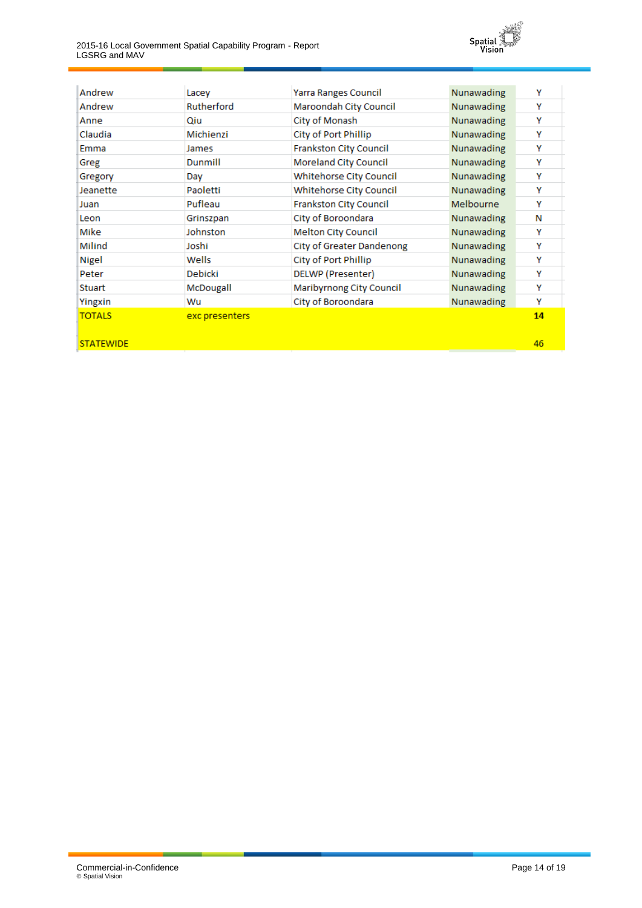2015-16 Local Government Spatial Capability Program - Report LGSRG and MAV



| Andrew           | Lacey          | <b>Yarra Ranges Council</b>    | Nunawading | Y  |
|------------------|----------------|--------------------------------|------------|----|
| Andrew           | Rutherford     | Maroondah City Council         | Nunawading | Y  |
| Anne             | Qiu            | City of Monash                 | Nunawading | Y  |
| Claudia          | Michienzi      | City of Port Phillip           | Nunawading | Y  |
| Emma             | James          | <b>Frankston City Council</b>  | Nunawading | Y  |
| Greg             | Dunmill        | Moreland City Council          | Nunawading | Y  |
| Gregory          | Day            | Whitehorse City Council        | Nunawading | Υ  |
| Jeanette         | Paoletti       | <b>Whitehorse City Council</b> | Nunawading | Y  |
| Juan             | Pufleau        | <b>Frankston City Council</b>  | Melbourne  | Y  |
| Leon             | Grinszpan      | City of Boroondara             | Nunawading | Ν  |
| Mike             | Johnston       | <b>Melton City Council</b>     | Nunawading | Υ  |
| Milind           | Joshi          | City of Greater Dandenong      | Nunawading | Υ  |
| Nigel            | Wells          | City of Port Phillip           | Nunawading | Υ  |
| Peter            | Debicki        | DELWP (Presenter)              | Nunawading | Υ  |
| <b>Stuart</b>    | McDougall      | Maribyrnong City Council       | Nunawading | Y  |
| Yingxin          | Wu             | City of Boroondara             | Nunawading | Y  |
| <b>TOTALS</b>    | exc presenters |                                |            | 14 |
|                  |                |                                |            |    |
| <b>STATEWIDE</b> |                |                                |            | 46 |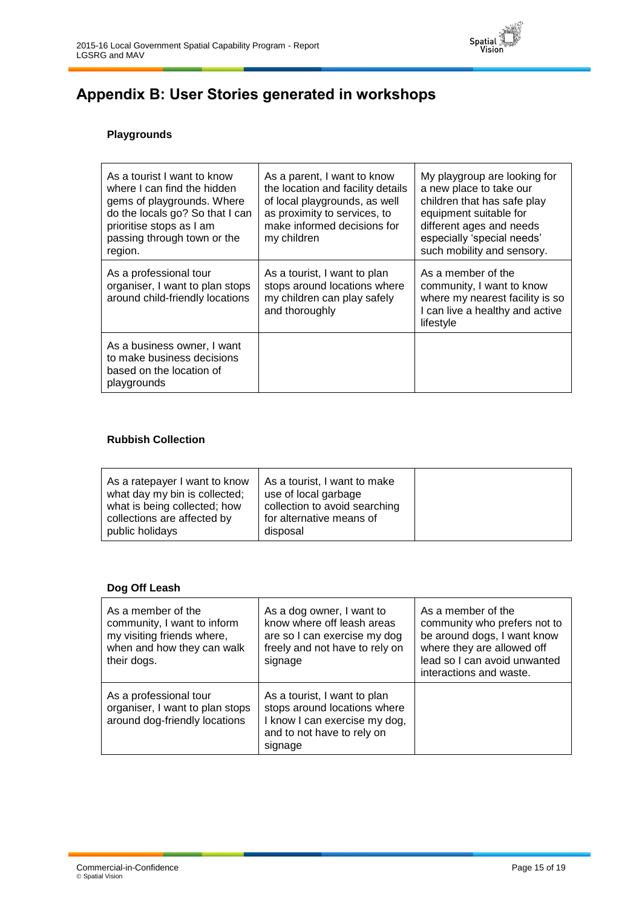

# <span id="page-14-0"></span>**Appendix B: User Stories generated in workshops**

#### **Playgrounds**

| As a tourist I want to know<br>where I can find the hidden<br>gems of playgrounds. Where<br>do the locals go? So that I can<br>prioritise stops as I am<br>passing through town or the<br>region. | As a parent, I want to know<br>the location and facility details<br>of local playgrounds, as well<br>as proximity to services, to<br>make informed decisions for<br>my children | My playgroup are looking for<br>a new place to take our<br>children that has safe play<br>equipment suitable for<br>different ages and needs<br>especially 'special needs'<br>such mobility and sensory. |
|---------------------------------------------------------------------------------------------------------------------------------------------------------------------------------------------------|---------------------------------------------------------------------------------------------------------------------------------------------------------------------------------|----------------------------------------------------------------------------------------------------------------------------------------------------------------------------------------------------------|
| As a professional tour<br>organiser, I want to plan stops<br>around child-friendly locations                                                                                                      | As a tourist, I want to plan<br>stops around locations where<br>my children can play safely<br>and thoroughly                                                                   | As a member of the<br>community, I want to know<br>where my nearest facility is so<br>I can live a healthy and active<br>lifestyle                                                                       |
| As a business owner, I want<br>to make business decisions<br>based on the location of<br>playgrounds                                                                                              |                                                                                                                                                                                 |                                                                                                                                                                                                          |

#### **Rubbish Collection**

| collection to avoid searching |  |
|-------------------------------|--|
|-------------------------------|--|

#### **Dog Off Leash**

| As a member of the<br>community, I want to inform<br>my visiting friends where,<br>when and how they can walk<br>their dogs. | As a dog owner, I want to<br>know where off leash areas<br>are so I can exercise my dog<br>freely and not have to rely on<br>signage   | As a member of the<br>community who prefers not to<br>be around dogs, I want know<br>where they are allowed off<br>lead so I can avoid unwanted<br>interactions and waste. |
|------------------------------------------------------------------------------------------------------------------------------|----------------------------------------------------------------------------------------------------------------------------------------|----------------------------------------------------------------------------------------------------------------------------------------------------------------------------|
| As a professional tour<br>organiser, I want to plan stops<br>around dog-friendly locations                                   | As a tourist, I want to plan<br>stops around locations where<br>I know I can exercise my dog,<br>and to not have to rely on<br>signage |                                                                                                                                                                            |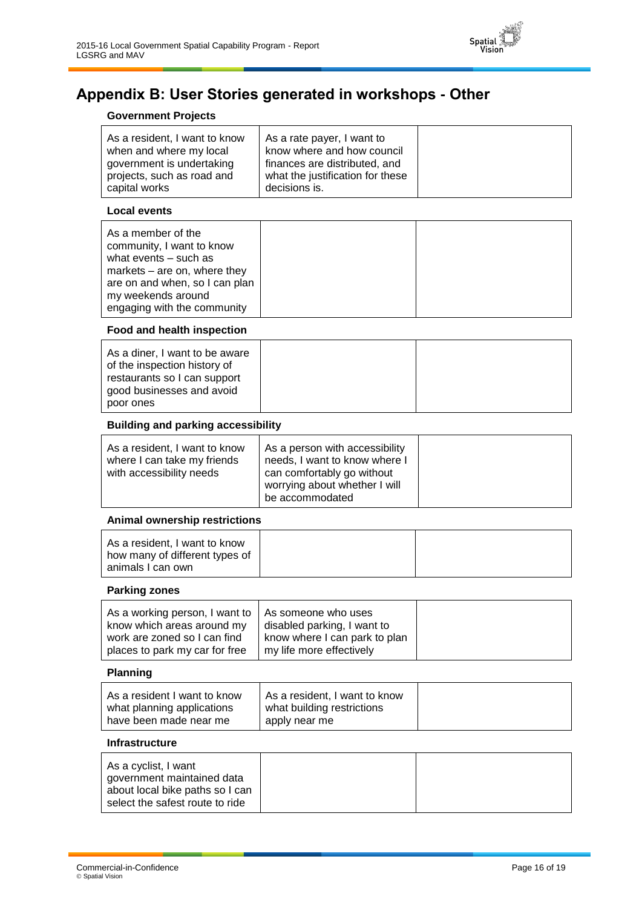

# <span id="page-15-0"></span>**Appendix B: User Stories generated in workshops - Other**

#### **Government Projects**

|--|--|

#### **Local events**

| As a member of the<br>community, I want to know<br>what events $-$ such as<br>markets $-$ are on, where they<br>are on and when, so I can plan<br>my weekends around<br>engaging with the community |  |  |
|-----------------------------------------------------------------------------------------------------------------------------------------------------------------------------------------------------|--|--|
|-----------------------------------------------------------------------------------------------------------------------------------------------------------------------------------------------------|--|--|

#### **Food and health inspection**

| As a diner, I want to be aware<br>of the inspection history of<br>restaurants so I can support<br>good businesses and avoid |  |
|-----------------------------------------------------------------------------------------------------------------------------|--|
| poor ones                                                                                                                   |  |

#### **Building and parking accessibility**

| As a resident, I want to know<br>As a person with accessibility<br>needs, I want to know where I<br>where I can take my friends<br>can comfortably go without<br>with accessibility needs<br>worrying about whether I will<br>be accommodated |  |
|-----------------------------------------------------------------------------------------------------------------------------------------------------------------------------------------------------------------------------------------------|--|
|-----------------------------------------------------------------------------------------------------------------------------------------------------------------------------------------------------------------------------------------------|--|

#### **Animal ownership restrictions**

#### **Parking zones**

| As a working person, I want to $\vert$ As someone who uses<br>know which areas around my | disabled parking, I want to                               |
|------------------------------------------------------------------------------------------|-----------------------------------------------------------|
| work are zoned so I can find<br>places to park my car for free                           | know where I can park to plan<br>my life more effectively |

#### **Planning**

|--|

#### **Infrastructure**

| As a cyclist, I want<br>government maintained data<br>about local bike paths so I can<br>select the safest route to ride |  |  |
|--------------------------------------------------------------------------------------------------------------------------|--|--|
|--------------------------------------------------------------------------------------------------------------------------|--|--|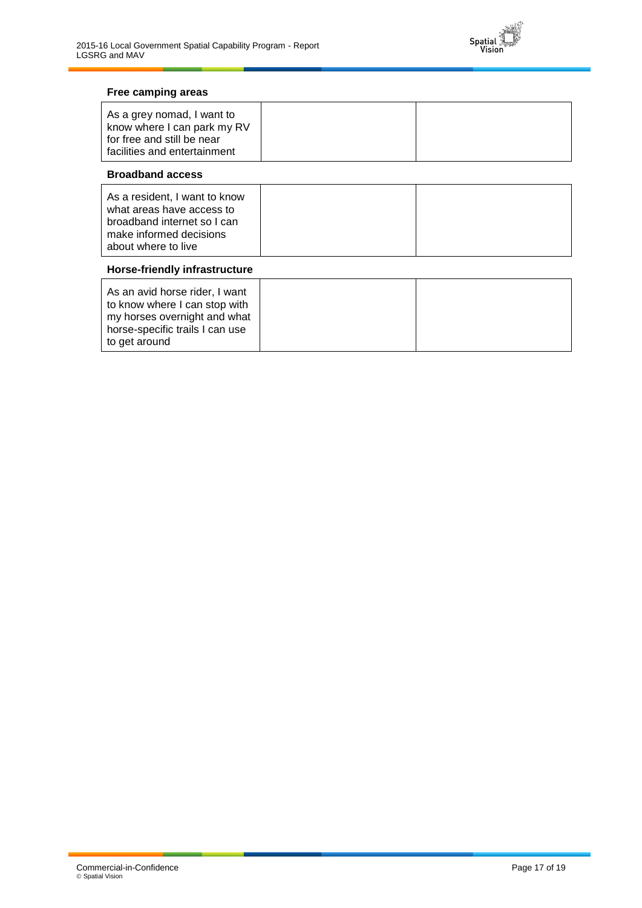

#### **Free camping areas**

| As a grey nomad, I want to<br>know where I can park my RV<br>for free and still be near |  |
|-----------------------------------------------------------------------------------------|--|
| facilities and entertainment                                                            |  |

#### **Broadband access**

| As a resident, I want to know<br>what areas have access to<br>broadband internet so I can |  |
|-------------------------------------------------------------------------------------------|--|
| make informed decisions                                                                   |  |
| about where to live                                                                       |  |

#### **Horse-friendly infrastructure**

| As an avid horse rider, I want<br>to know where I can stop with<br>my horses overnight and what |  |
|-------------------------------------------------------------------------------------------------|--|
| horse-specific trails I can use<br>to get around                                                |  |
|                                                                                                 |  |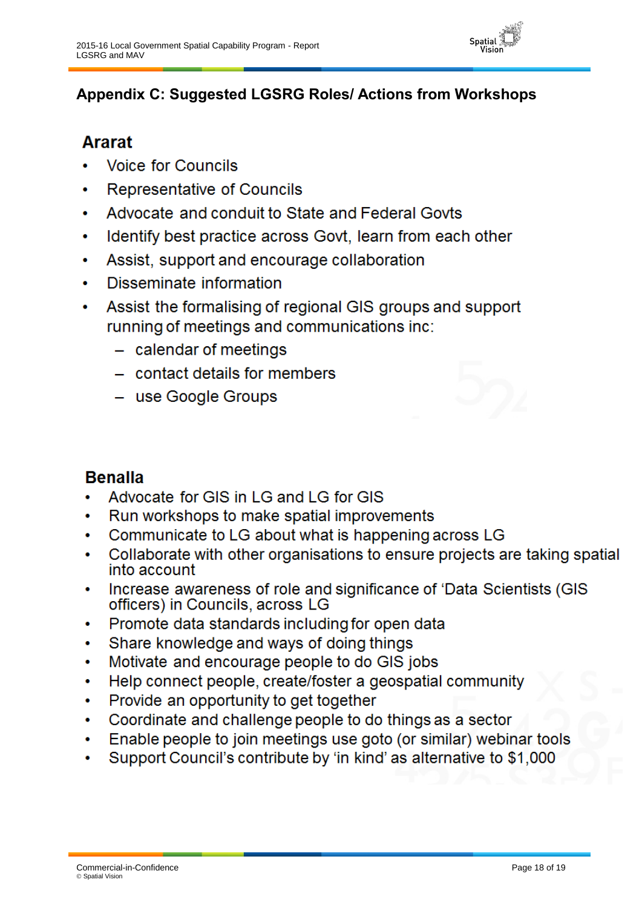

# <span id="page-17-0"></span>**Appendix C: Suggested LGSRG Roles/ Actions from Workshops**

# **Ararat**

- **Voice for Councils**
- **Representative of Councils**
- Advocate and conduit to State and Federal Govts  $\bullet$
- Identify best practice across Govt, learn from each other
- Assist, support and encourage collaboration
- Disseminate information
- Assist the formalising of regional GIS groups and support running of meetings and communications inc:
	- $-$  calendar of meetings
	- contact details for members
	- use Google Groups



# **Benalla**

- Advocate for GIS in LG and LG for GIS
- Run workshops to make spatial improvements  $\bullet$
- Communicate to LG about what is happening across LG  $\bullet$
- Collaborate with other organisations to ensure projects are taking spatial  $\bullet$ into account
- Increase awareness of role and significance of 'Data Scientists (GIS  $\bullet$ officers) in Councils, across LG
- Promote data standards including for open data  $\bullet$
- Share knowledge and ways of doing things  $\bullet$
- Motivate and encourage people to do GIS jobs  $\bullet$
- Help connect people, create/foster a geospatial community  $\bullet$
- Provide an opportunity to get together  $\bullet$
- Coordinate and challenge people to do things as a sector  $\bullet$
- Enable people to join meetings use goto (or similar) webinar tools  $\bullet$
- Support Council's contribute by 'in kind' as alternative to \$1,000  $\bullet$